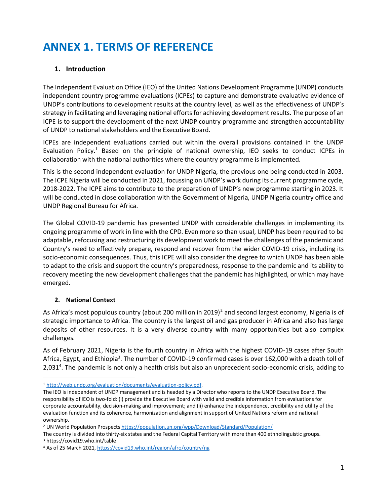# **ANNEX 1. TERMS OF REFERENCE**

# **1. Introduction**

The Independent Evaluation Office (IEO) of the United Nations Development Programme (UNDP) conducts independent country programme evaluations (ICPEs) to capture and demonstrate evaluative evidence of UNDP's contributions to development results at the country level, as well as the effectiveness of UNDP's strategy in facilitating and leveraging national efforts for achieving development results. The purpose of an ICPE is to support the development of the next UNDP country programme and strengthen accountability of UNDP to national stakeholders and the Executive Board.

ICPEs are independent evaluations carried out within the overall provisions contained in the UNDP Evaluation Policy.<sup>1</sup> Based on the principle of national ownership, IEO seeks to conduct ICPEs in collaboration with the national authorities where the country programme is implemented.

This is the second independent evaluation for UNDP Nigeria, the previous one being conducted in 2003. The ICPE Nigeria will be conducted in 2021, focussing on UNDP's work during its current programme cycle, 2018-2022. The ICPE aims to contribute to the preparation of UNDP's new programme starting in 2023. It will be conducted in close collaboration with the Government of Nigeria, UNDP Nigeria country office and UNDP Regional Bureau for Africa.

The Global COVID-19 pandemic has presented UNDP with considerable challenges in implementing its ongoing programme of work in line with the CPD. Even more so than usual, UNDP has been required to be adaptable, refocusing and restructuring its development work to meet the challenges of the pandemic and Country's need to effectively prepare, respond and recover from the wider COVID-19 crisis, including its socio-economic consequences. Thus, this ICPE will also consider the degree to which UNDP has been able to adapt to the crisis and support the country's preparedness, response to the pandemic and its ability to recovery meeting the new development challenges that the pandemic has highlighted, or which may have emerged.

# **2. National Context**

As Africa's most populous country (about 200 million in 2019)<sup>2</sup> and second largest economy, Nigeria is of strategic importance to Africa. The country is the largest oil and gas producer in Africa and also has large deposits of other resources. It is a very diverse country with many opportunities but also complex challenges.

As of February 2021, Nigeria is the fourth country in Africa with the highest COVID-19 cases after South Africa, Egypt, and Ethiopia<sup>3</sup>. The number of COVID-19 confirmed cases is over 162,000 with a death toll of 2,031<sup>4</sup>. The pandemic is not only a health crisis but also an unprecedent socio-economic crisis, adding to

<sup>1</sup> [http://web.undp.org/evaluation/documents/evaluation-policy.pdf.](http://web.undp.org/evaluation/documents/evaluation-policy.pdf)

The IEO is independent of UNDP management and is headed by a Director who reports to the UNDP Executive Board. The responsibility of IEO is two-fold: (i) provide the Executive Board with valid and credible information from evaluations for corporate accountability, decision-making and improvement; and (ii) enhance the independence, credibility and utility of the evaluation function and its coherence, harmonization and alignment in support of United Nations reform and national ownership.

<sup>&</sup>lt;sup>2</sup> UN World Population Prospect[s https://population.un.org/wpp/Download/Standard/Population/](https://population.un.org/wpp/Download/Standard/Population/)

The country is divided into thirty-six states and the Federal Capital Territory with more than 400 ethnolinguistic groups. <sup>3</sup> https://covid19.who.int/table

<sup>4</sup> As of 25 March 2021[, https://covid19.who.int/region/afro/country/ng](https://covid19.who.int/region/afro/country/ng)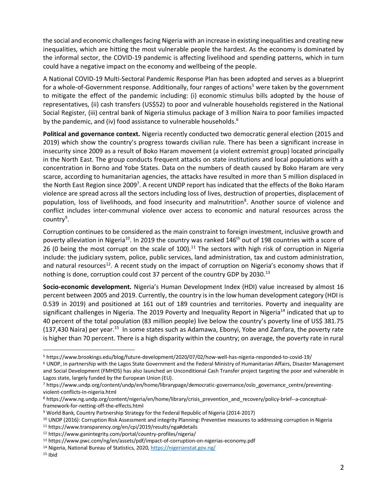the social and economic challenges facing Nigeria with an increase in existing inequalities and creating new inequalities, which are hitting the most vulnerable people the hardest. As the economy is dominated by the informal sector, the COVID-19 pandemic is affecting livelihood and spending patterns, which in turn could have a negative impact on the economy and wellbeing of the people.

A National COVID-19 Multi-Sectoral Pandemic Response Plan has been adopted and serves as a blueprint for a whole-of-Government response. Additionally, four ranges of actions<sup>5</sup> were taken by the government to mitigate the effect of the pandemic including: (i) economic stimulus bills adopted by the house of representatives, (ii) cash transfers (US\$52) to poor and vulnerable households registered in the National Social Register, (iii) central bank of Nigeria stimulus package of 3 million Naira to poor families impacted by the pandemic, and (iv) food assistance to vulnerable households. $6\overline{ }$ 

**Political and governance context.** Nigeria recently conducted two democratic general election (2015 and 2019) which show the country's progress towards civilian rule. There has been a significant increase in insecurity since 2009 as a result of Boko Haram movement (a violent extremist group) located principally in the North East. The group conducts frequent attacks on state institutions and local populations with a concentration in Borno and Yobe States. Data on the numbers of death caused by Boko Haram are very scarce, according to humanitarian agencies, the attacks have resulted in more than 5 million displaced in the North East Region since 2009<sup>7</sup>. A recent UNDP report has indicated that the effects of the Boko Haram violence are spread across all the sectors including loss of lives, destruction of properties, displacement of population, loss of livelihoods, and food insecurity and malnutrition<sup>8</sup>. Another source of violence and conflict includes inter-communal violence over access to economic and natural resources across the country<sup>9</sup>.

Corruption continues to be considered as the main constraint to foreign investment, inclusive growth and poverty alleviation in Nigeria<sup>10</sup>. In 2019 the country was ranked 146<sup>th</sup> out of 198 countries with a score of 26 (0 being the most corrupt on the scale of 100).<sup>11</sup> The sectors with high risk of corruption in Nigeria include: the judiciary system, police, public services, land administration, tax and custom administration, and natural resources<sup>12</sup>. A recent study on the impact of corruption on Nigeria's economy shows that if nothing is done, corruption could cost 37 percent of the country GDP by 2030.<sup>13</sup>

**Socio-economic development***.* Nigeria's Human Development Index (HDI) value increased by almost 16 percent between 2005 and 2019. Currently, the country is in the low human development category (HDI is 0.539 in 2019) and positioned at 161 out of 189 countries and territories. Poverty and inequality are significant challenges in Nigeria. The 2019 Poverty and Inequality Report in Nigeria<sup>14</sup> indicated that up to 40 percent of the total population (83 million people) live below the country's poverty line of US\$ 381.75 (137,430 Naira) per year.<sup>15</sup> In some states such as Adamawa, Ebonyi, Yobe and Zamfara, the poverty rate is higher than 70 percent. There is a high disparity within the country; on average, the poverty rate in rural

<sup>5</sup> https://www.brookings.edu/blog/future-development/2020/07/02/how-well-has-nigeria-responded-to-covid-19/

<sup>6</sup> UNDP, in partnership with the Lagos State Government and the Federal Ministry of Humanitarian Affairs, Disaster Management and Social Development (FMHDS) has also launched an Unconditional Cash Transfer project targeting the poor and vulnerable in Lagos state, largely funded by the European Union (EU).

<sup>7</sup> https://www.undp.org/content/undp/en/home/librarypage/democratic-governance/oslo\_governance\_centre/preventingviolent-conflicts-in-nigeria.html

<sup>8</sup> https://www.ng.undp.org/content/nigeria/en/home/library/crisis\_prevention\_and\_recovery/policy-brief--a-conceptualframework-for-netting-off-the-effects.html

<sup>9</sup> World Bank, Country Partnership Strategy for the Federal Republic of Nigeria (2014-2017)

<sup>&</sup>lt;sup>10</sup> UNDP (2016): Corruption Risk Assessment and integrity Planning: Preventive measures to addressing corruption in Nigeria

<sup>11</sup> https://www.transparency.org/en/cpi/2019/results/nga#details

<sup>12</sup> https://www.ganintegrity.com/portal/country-profiles/nigeria/

<sup>13</sup> https://www.pwc.com/ng/en/assets/pdf/impact-of-corruption-on-nigerias-economy.pdf

<sup>14</sup> Nigeria, National Bureau of Statistics, 2020[, https://nigerianstat.gov.ng/](https://nigerianstat.gov.ng/)

<sup>15</sup> Ibid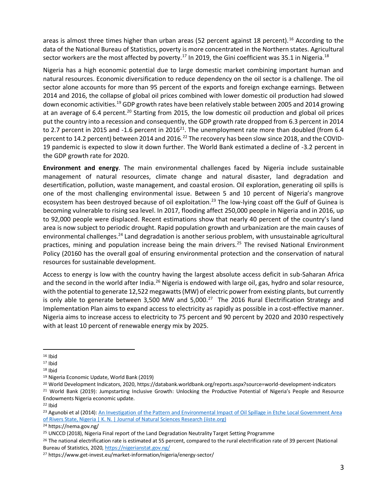areas is almost three times higher than urban areas (52 percent against 18 percent).<sup>16</sup> According to the data of the National Bureau of Statistics, poverty is more concentrated in the Northern states. Agricultural sector workers are the most affected by poverty.<sup>17</sup> In 2019, the Gini coefficient was 35.1 in Nigeria.<sup>18</sup>

Nigeria has a high economic potential due to large domestic market combining important human and natural resources. Economic diversification to reduce dependency on the oil sector is a challenge. The oil sector alone accounts for more than 95 percent of the exports and foreign exchange earnings. Between 2014 and 2016, the collapse of global oil prices combined with lower domestic oil production had slowed down economic activities.<sup>19</sup> GDP growth rates have been relatively stable between 2005 and 2014 growing at an average of 6.4 percent.<sup>20</sup> Starting from 2015, the low domestic oil production and global oil prices put the country into a recession and consequently, the GDP growth rate dropped from 6.3 percent in 2014 to 2.7 percent in 2015 and -1.6 percent in 2016<sup>21</sup>. The unemployment rate more than doubled (from 6.4 percent to 14.2 percent) between 2014 and 2016.<sup>22</sup> The recovery has been slow since 2018, and the COVID-19 pandemic is expected to slow it down further. The World Bank estimated a decline of -3.2 percent in the GDP growth rate for 2020.

**Environment and energy***.* The main environmental challenges faced by Nigeria include sustainable management of natural resources, climate change and natural disaster, land degradation and desertification, pollution, waste management, and coastal erosion. Oil exploration, generating oil spills is one of the most challenging environmental issue. Between 5 and 10 percent of Nigeria's mangrove ecosystem has been destroyed because of oil exploitation.<sup>23</sup> The low-lying coast off the Gulf of Guinea is becoming vulnerable to rising sea level. In 2017, flooding affect 250,000 people in Nigeria and in 2016, up to 92,000 people were displaced. Recent estimations show that nearly 40 percent of the country's land area is now subject to periodic drought. Rapid population growth and urbanization are the main causes of environmental challenges.<sup>24</sup> Land degradation is another serious problem, with unsustainable agricultural practices, mining and population increase being the main drivers.<sup>25</sup> The revised National Environment Policy (20160 has the overall goal of ensuring environmental protection and the conservation of natural resources for sustainable development.

Access to energy is low with the country having the largest absolute access deficit in sub-Saharan Africa and the second in the world after India.<sup>26</sup> Nigeria is endowed with large oil, gas, hydro and solar resource, with the potential to generate 12,522 megawatts (MW) of electric power from existing plants, but currently is only able to generate between 3,500 MW and 5,000. $^{27}$  The 2016 Rural Electrification Strategy and Implementation Plan aims to expand access to electricity as rapidly as possible in a cost-effective manner. Nigeria aims to increase access to electricity to 75 percent and 90 percent by 2020 and 2030 respectively with at least 10 percent of renewable energy mix by 2025.

 $16$  Ibid

 $17$  Ibid

<sup>18</sup> Ibid

<sup>19</sup> Nigeria Economic Update, World Bank (2019)

<sup>20</sup> World Development Indicators, 2020, https://databank.worldbank.org/reports.aspx?source=world-development-indicators

<sup>&</sup>lt;sup>21</sup> World Bank (2019): Jumpstarting Inclusive Growth: Unlocking the Productive Potential of Nigeria's People and Resource Endowments Nigeria economic update.

 $22$  Ibid

<sup>23</sup> Agunobi et al (2014): An Investigation of the Pattern and Environmental Impact of Oil Spillage in Etche Local Government Area [of Rivers State, Nigeria | K. N. | Journal of Natural Sciences Research \(iiste.org\)](https://iiste.org/Journals/index.php/JNSR/article/view/15051)

<sup>24</sup> https://nema.gov.ng/

<sup>25</sup> UNCCD (2018), Nigeria Final report of the Land Degradation Neutrality Target Setting Programme

<sup>&</sup>lt;sup>26</sup> The national electrification rate is estimated at 55 percent, compared to the rural electrification rate of 39 percent (National Bureau of Statistics, 2020,<https://nigerianstat.gov.ng/>

<sup>27</sup> https://www.get-invest.eu/market-information/nigeria/energy-sector/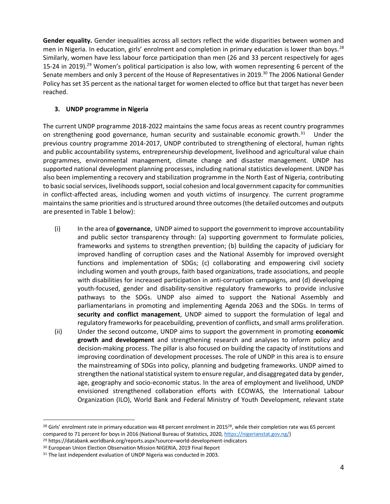**Gender equality.** Gender inequalities across all sectors reflect the wide disparities between women and men in Nigeria. In education, girls' enrolment and completion in primary education is lower than boys.<sup>28</sup> Similarly, women have less labour force participation than men (26 and 33 percent respectively for ages 15-24 in 2019).<sup>29</sup> Women's political participation is also low, with women representing 6 percent of the Senate members and only 3 percent of the House of Representatives in 2019.<sup>30</sup> The 2006 National Gender Policy has set 35 percent as the national target for women elected to office but that target has never been reached.

# **3. UNDP programme in Nigeria**

The current UNDP programme 2018-2022 maintains the same focus areas as recent country programmes on strengthening good governance, human security and sustainable economic growth.<sup>31</sup> Under the previous country programme 2014-2017, UNDP contributed to strengthening of electoral, human rights and public accountability systems, entrepreneurship development, livelihood and agricultural value chain programmes, environmental management, climate change and disaster management. UNDP has supported national development planning processes, including national statistics development. UNDP has also been implementing a recovery and stabilization programme in the North East of Nigeria, contributing to basic social services, livelihoods support, social cohesion and local government capacity for communities in conflict-affected areas, including women and youth victims of insurgency. The current programme maintains the same priorities and is structured around three outcomes (the detailed outcomes and outputs are presented in Table 1 below):

- (i) In the area of **governance**, UNDP aimed to support the government to improve accountability and public sector transparency through: (a) supporting government to formulate policies, frameworks and systems to strengthen prevention; (b) building the capacity of judiciary for improved handling of corruption cases and the National Assembly for improved oversight functions and implementation of SDGs; (c) collaborating and empowering civil society including women and youth groups, faith based organizations, trade associations, and people with disabilities for increased participation in anti-corruption campaigns, and (d) developing youth-focused, gender and disability-sensitive regulatory frameworks to provide inclusive pathways to the SDGs. UNDP also aimed to support the National Assembly and parliamentarians in promoting and implementing Agenda 2063 and the SDGs. In terms of **security and conflict management**, UNDP aimed to support the formulation of legal and regulatory frameworks for peacebuilding, prevention of conflicts, and small arms proliferation.
- (ii) Under the second outcome, UNDP aims to support the government in promoting **economic growth and development** and strengthening research and analyses to inform policy and decision-making process. The pillar is also focused on building the capacity of institutions and improving coordination of development processes. The role of UNDP in this area is to ensure the mainstreaming of SDGs into policy, planning and budgeting frameworks. UNDP aimed to strengthen the national statistical system to ensure regular, and disaggregated data by gender, age, geography and socio-economic status. In the area of employment and livelihood, UNDP envisioned strengthened collaboration efforts with ECOWAS, the International Labour Organization (ILO), World Bank and Federal Ministry of Youth Development, relevant state

<sup>&</sup>lt;sup>28</sup> Girls' enrolment rate in primary education was 48 percent enrolment in 2015<sup>28</sup>, while their completion rate was 65 percent compared to 71 percent for boys in 2016 (National Bureau of Statistics, 2020, [https://nigerianstat.gov.ng/\)](https://nigerianstat.gov.ng/)

<sup>29</sup> https://databank.worldbank.org/reports.aspx?source=world-development-indicators

<sup>&</sup>lt;sup>30</sup> European Union Election Observation Mission NIGERIA, 2019 Final Report

<sup>&</sup>lt;sup>31</sup> The last independent evaluation of UNDP Nigeria was conducted in 2003.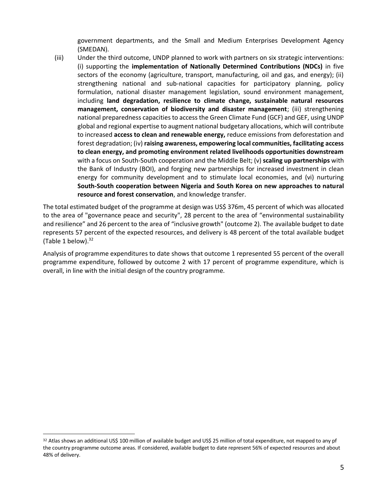government departments, and the Small and Medium Enterprises Development Agency (SMEDAN).

(iii) Under the third outcome, UNDP planned to work with partners on six strategic interventions: (i) supporting the **implementation of Nationally Determined Contributions (NDCs)** in five sectors of the economy (agriculture, transport, manufacturing, oil and gas, and energy); (ii) strengthening national and sub-national capacities for participatory planning, policy formulation, national disaster management legislation, sound environment management, including **land degradation, resilience to climate change, sustainable natural resources management, conservation of biodiversity and disaster management**; (iii) strengthening national preparedness capacities to access the Green Climate Fund (GCF) and GEF, using UNDP global and regional expertise to augment national budgetary allocations, which will contribute to increased **access to clean and renewable energy,** reduce emissions from deforestation and forest degradation; (iv) **raising awareness, empowering local communities, facilitating access to clean energy, and promoting environment related livelihoods opportunities downstream** with a focus on South-South cooperation and the Middle Belt; (v) **scaling up partnerships** with the Bank of Industry (BOI), and forging new partnerships for increased investment in clean energy for community development and to stimulate local economies, and (vi) nurturing **South-South cooperation between Nigeria and South Korea on new approaches to natural resource and forest conservation**, and knowledge transfer.

The total estimated budget of the programme at design was US\$ 376m, 45 percent of which was allocated to the area of "governance peace and security", 28 percent to the area of "environmental sustainability and resilience" and 26 percent to the area of "inclusive growth" (outcome 2). The available budget to date represents 57 percent of the expected resources, and delivery is 48 percent of the total available budget (Table 1 below). $32$ 

Analysis of programme expenditures to date shows that outcome 1 represented 55 percent of the overall programme expenditure, followed by outcome 2 with 17 percent of programme expenditure, which is overall, in line with the initial design of the country programme.

<sup>32</sup> Atlas shows an additional US\$ 100 million of available budget and US\$ 25 million of total expenditure, not mapped to any pf the country programme outcome areas. If considered, available budget to date represent 56% of expected resources and about 48% of delivery.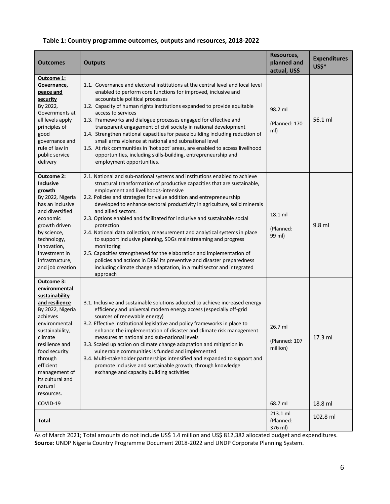|  |  | Table 1: Country programme outcomes, outputs and resources, 2018-2022 |  |  |
|--|--|-----------------------------------------------------------------------|--|--|
|--|--|-----------------------------------------------------------------------|--|--|

| Outcomes                                                                                                                                                                                                                                                                | <b>Outputs</b>                                                                                                                                                                                                                                                                                                                                                                                                                                                                                                                                                                                                                                                                                                                                                                                                                                                            | Resources,<br>planned and<br>actual, US\$ | <b>Expenditures</b><br>US\$* |
|-------------------------------------------------------------------------------------------------------------------------------------------------------------------------------------------------------------------------------------------------------------------------|---------------------------------------------------------------------------------------------------------------------------------------------------------------------------------------------------------------------------------------------------------------------------------------------------------------------------------------------------------------------------------------------------------------------------------------------------------------------------------------------------------------------------------------------------------------------------------------------------------------------------------------------------------------------------------------------------------------------------------------------------------------------------------------------------------------------------------------------------------------------------|-------------------------------------------|------------------------------|
| Outcome 1:<br>Governance,<br>peace and<br>security<br>By 2022,<br>Governments at<br>all levels apply<br>principles of<br>good<br>governance and<br>rule of law in<br>public service<br>delivery                                                                         | 1.1. Governance and electoral institutions at the central level and local level<br>enabled to perform core functions for improved, inclusive and<br>accountable political processes<br>1.2. Capacity of human rights institutions expanded to provide equitable<br>access to services<br>1.3. Frameworks and dialogue processes engaged for effective and<br>transparent engagement of civil society in national development<br>1.4. Strengthen national capacities for peace building including reduction of<br>small arms violence at national and subnational level<br>1.5. At risk communities in 'hot spot' areas, are enabled to access livelihood<br>opportunities, including skills-building, entrepreneurship and<br>employment opportunities.                                                                                                                   | 98.2 ml<br>(Planned: 170<br>ml)           | 56.1 ml                      |
| Outcome 2:<br>Inclusive<br>growth<br>By 2022, Nigeria<br>has an inclusive<br>and diversified<br>economic<br>growth driven<br>by science,<br>technology,<br>innovation,<br>investment in<br>infrastructure,<br>and job creation                                          | 2.1. National and sub-national systems and institutions enabled to achieve<br>structural transformation of productive capacities that are sustainable,<br>employment and livelihoods-intensive<br>2.2. Policies and strategies for value addition and entrepreneurship<br>developed to enhance sectoral productivity in agriculture, solid minerals<br>and allied sectors.<br>2.3. Options enabled and facilitated for inclusive and sustainable social<br>protection<br>2.4. National data collection, measurement and analytical systems in place<br>to support inclusive planning, SDGs mainstreaming and progress<br>monitoring<br>2.5. Capacities strengthened for the elaboration and implementation of<br>policies and actions in DRM its preventive and disaster preparedness<br>including climate change adaptation, in a multisector and integrated<br>approach | 18.1 ml<br>(Planned:<br>99 ml)            | 9.8 ml                       |
| Outcome 3:<br>environmental<br>sustainability<br>and resilience<br>By 2022, Nigeria<br>achieves<br>environmental<br>sustainability,<br>climate<br>resilience and<br>food security<br>through<br>efficient<br>management of<br>its cultural and<br>natural<br>resources. | 3.1. Inclusive and sustainable solutions adopted to achieve increased energy<br>efficiency and universal modern energy access (especially off-grid<br>sources of renewable energy)<br>3.2. Effective institutional legislative and policy frameworks in place to<br>enhance the implementation of disaster and climate risk management<br>measures at national and sub-national levels<br>3.3. Scaled up action on climate change adaptation and mitigation in<br>vulnerable communities is funded and implemented<br>3.4. Multi-stakeholder partnerships intensified and expanded to support and<br>promote inclusive and sustainable growth, through knowledge<br>exchange and capacity building activities                                                                                                                                                             | 26.7 ml<br>(Planned: 107<br>million)      | 17.3 ml                      |
| COVID-19                                                                                                                                                                                                                                                                |                                                                                                                                                                                                                                                                                                                                                                                                                                                                                                                                                                                                                                                                                                                                                                                                                                                                           | 68.7 ml                                   | 18.8 ml                      |
| Total                                                                                                                                                                                                                                                                   |                                                                                                                                                                                                                                                                                                                                                                                                                                                                                                                                                                                                                                                                                                                                                                                                                                                                           | 213.1 ml<br>(Planned:<br>376 ml)          | 102.8 ml                     |

 As of March 2021; Total amounts do not include US\$ 1.4 million and US\$ 812,382 allocated budget and expenditures. **Source**: UNDP Nigeria Country Programme Document 2018-2022 and UNDP Corporate Planning System.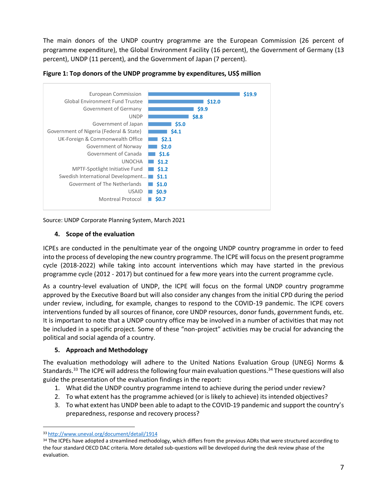The main donors of the UNDP country programme are the European Commission (26 percent of programme expenditure), the Global Environment Facility (16 percent), the Government of Germany (13 percent), UNDP (11 percent), and the Government of Japan (7 percent).





Source: UNDP Corporate Planning System, March 2021

# **4. Scope of the evaluation**

ICPEs are conducted in the penultimate year of the ongoing UNDP country programme in order to feed into the process of developing the new country programme. The ICPE will focus on the present programme cycle (2018-2022) while taking into account interventions which may have started in the previous programme cycle (2012 - 2017) but continued for a few more years into the current programme cycle.

As a country-level evaluation of UNDP, the ICPE will focus on the formal UNDP country programme approved by the Executive Board but will also consider any changes from the initial CPD during the period under review, including, for example, changes to respond to the COVID-19 pandemic. The ICPE covers interventions funded by all sources of finance, core UNDP resources, donor funds, government funds, etc. It is important to note that a UNDP country office may be involved in a number of activities that may not be included in a specific project. Some of these "non-project" activities may be crucial for advancing the political and social agenda of a country.

#### **5. Approach and Methodology**

The evaluation methodology will adhere to the United Nations Evaluation Group (UNEG) Norms & Standards.<sup>33</sup> The ICPE will address the following four main evaluation questions.<sup>34</sup> These questions will also guide the presentation of the evaluation findings in the report:

- 1. What did the UNDP country programme intend to achieve during the period under review?
- 2. To what extent has the programme achieved (or is likely to achieve) its intended objectives?
- 3. To what extent has UNDP been able to adapt to the COVID-19 pandemic and support the country's preparedness, response and recovery process?

<sup>33</sup> <http://www.uneval.org/document/detail/1914>

<sup>34</sup> The ICPEs have adopted a streamlined methodology, which differs from the previous ADRs that were structured according to the four standard OECD DAC criteria. More detailed sub-questions will be developed during the desk review phase of the evaluation.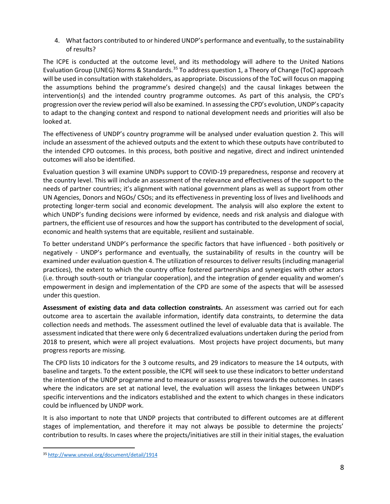4. What factors contributed to or hindered UNDP's performance and eventually, to the sustainability of results?

The ICPE is conducted at the outcome level, and its methodology will adhere to the United Nations Evaluation Group (UNEG) Norms & Standards.<sup>35</sup> To address question 1, a Theory of Change (ToC) approach will be used in consultation with stakeholders, as appropriate. Discussions of the ToC will focus on mapping the assumptions behind the programme's desired change(s) and the causal linkages between the intervention(s) and the intended country programme outcomes. As part of this analysis, the CPD's progression over the review period will also be examined. In assessing the CPD's evolution, UNDP's capacity to adapt to the changing context and respond to national development needs and priorities will also be looked at.

The effectiveness of UNDP's country programme will be analysed under evaluation question 2. This will include an assessment of the achieved outputs and the extent to which these outputs have contributed to the intended CPD outcomes. In this process, both positive and negative, direct and indirect unintended outcomes will also be identified.

Evaluation question 3 will examine UNDPs support to COVID-19 preparedness, response and recovery at the country level. This will include an assessment of the relevance and effectiveness of the support to the needs of partner countries; it's alignment with national government plans as well as support from other UN Agencies, Donors and NGOs/ CSOs; and its effectiveness in preventing loss of lives and livelihoods and protecting longer-term social and economic development. The analysis will also explore the extent to which UNDP's funding decisions were informed by evidence, needs and risk analysis and dialogue with partners, the efficient use of resources and how the support has contributed to the development of social, economic and health systems that are equitable, resilient and sustainable.

To better understand UNDP's performance the specific factors that have influenced - both positively or negatively - UNDP's performance and eventually, the sustainability of results in the country will be examined under evaluation question 4. The utilization of resources to deliver results (including managerial practices), the extent to which the country office fostered partnerships and synergies with other actors (i.e. through south-south or triangular cooperation), and the integration of gender equality and women's empowerment in design and implementation of the CPD are some of the aspects that will be assessed under this question.

**Assessment of existing data and data collection constraints.** An assessment was carried out for each outcome area to ascertain the available information, identify data constraints, to determine the data collection needs and methods. The assessment outlined the level of evaluable data that is available. The assessment indicated that there were only 6 decentralized evaluations undertaken during the period from 2018 to present, which were all project evaluations. Most projects have project documents, but many progress reports are missing.

The CPD lists 10 indicators for the 3 outcome results, and 29 indicators to measure the 14 outputs, with baseline and targets. To the extent possible, the ICPE will seek to use these indicators to better understand the intention of the UNDP programme and to measure or assess progress towards the outcomes. In cases where the indicators are set at national level, the evaluation will assess the linkages between UNDP's specific interventions and the indicators established and the extent to which changes in these indicators could be influenced by UNDP work.

It is also important to note that UNDP projects that contributed to different outcomes are at different stages of implementation, and therefore it may not always be possible to determine the projects' contribution to results. In cases where the projects/initiatives are still in their initial stages, the evaluation

<sup>35</sup> <http://www.uneval.org/document/detail/1914>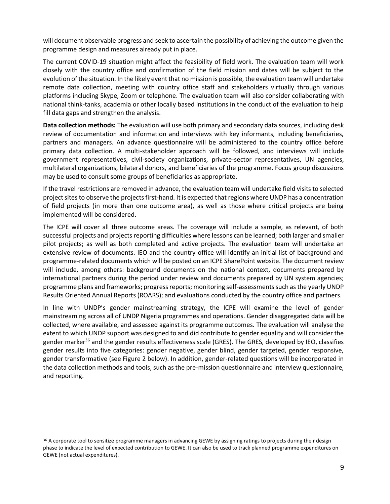will document observable progress and seek to ascertain the possibility of achieving the outcome given the programme design and measures already put in place.

The current COVID-19 situation might affect the feasibility of field work. The evaluation team will work closely with the country office and confirmation of the field mission and dates will be subject to the evolution of the situation. In the likely event that no mission is possible, the evaluation team will undertake remote data collection, meeting with country office staff and stakeholders virtually through various platforms including Skype, Zoom or telephone. The evaluation team will also consider collaborating with national think-tanks, academia or other locally based institutions in the conduct of the evaluation to help fill data gaps and strengthen the analysis.

**Data collection methods:** The evaluation will use both primary and secondary data sources, including desk review of documentation and information and interviews with key informants, including beneficiaries, partners and managers. An advance questionnaire will be administered to the country office before primary data collection. A multi-stakeholder approach will be followed, and interviews will include government representatives, civil-society organizations, private-sector representatives, UN agencies, multilateral organizations, bilateral donors, and beneficiaries of the programme. Focus group discussions may be used to consult some groups of beneficiaries as appropriate.

If the travel restrictions are removed in advance, the evaluation team will undertake field visits to selected project sites to observe the projects first-hand. It is expected that regions where UNDP has a concentration of field projects (in more than one outcome area), as well as those where critical projects are being implemented will be considered.

The ICPE will cover all three outcome areas. The coverage will include a sample, as relevant, of both successful projects and projects reporting difficulties where lessons can be learned; both larger and smaller pilot projects; as well as both completed and active projects. The evaluation team will undertake an extensive review of documents. IEO and the country office will identify an initial list of background and programme-related documents which will be posted on an ICPE SharePoint website. The document review will include, among others: background documents on the national context, documents prepared by international partners during the period under review and documents prepared by UN system agencies; programme plans and frameworks; progress reports; monitoring self-assessments such as the yearly UNDP Results Oriented Annual Reports (ROARS); and evaluations conducted by the country office and partners.

In line with UNDP's gender mainstreaming strategy, the ICPE will examine the level of gender mainstreaming across all of UNDP Nigeria programmes and operations. Gender disaggregated data will be collected, where available, and assessed against its programme outcomes. The evaluation will analyse the extent to which UNDP support was designed to and did contribute to gender equality and will consider the gender marker<sup>36</sup> and the gender results effectiveness scale (GRES). The GRES, developed by IEO, classifies gender results into five categories: gender negative, gender blind, gender targeted, gender responsive, gender transformative (see Figure 2 below). In addition, gender-related questions will be incorporated in the data collection methods and tools, such as the pre-mission questionnaire and interview questionnaire, and reporting.

<sup>36</sup> A corporate tool to sensitize programme managers in advancing GEWE by assigning ratings to projects during their design phase to indicate the level of expected contribution to GEWE. It can also be used to track planned programme expenditures on GEWE (not actual expenditures).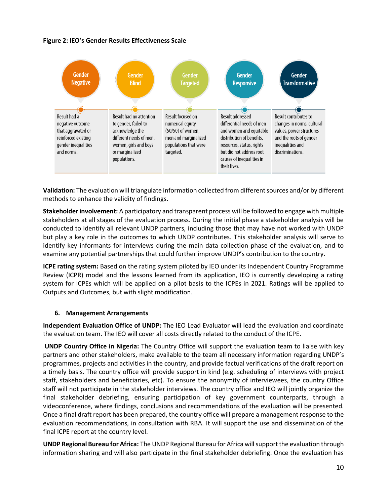# **Figure 2: IEO's Gender Results Effectiveness Scale**



**Validation:** The evaluation will triangulate information collected from different sources and/or by different methods to enhance the validity of findings.

**Stakeholder involvement:** A participatory and transparent process will be followed to engage with multiple stakeholders at all stages of the evaluation process. During the initial phase a stakeholder analysis will be conducted to identify all relevant UNDP partners, including those that may have not worked with UNDP but play a key role in the outcomes to which UNDP contributes. This stakeholder analysis will serve to identify key informants for interviews during the main data collection phase of the evaluation, and to examine any potential partnerships that could further improve UNDP's contribution to the country.

**ICPE rating system:** Based on the rating system piloted by IEO under its Independent Country Programme Review (ICPR) model and the lessons learned from its application, IEO is currently developing a rating system for ICPEs which will be applied on a pilot basis to the ICPEs in 2021. Ratings will be applied to Outputs and Outcomes, but with slight modification.

#### **6. Management Arrangements**

**Independent Evaluation Office of UNDP:** The IEO Lead Evaluator will lead the evaluation and coordinate the evaluation team. The IEO will cover all costs directly related to the conduct of the ICPE.

**UNDP Country Office in Nigeria:** The Country Office will support the evaluation team to liaise with key partners and other stakeholders, make available to the team all necessary information regarding UNDP's programmes, projects and activities in the country, and provide factual verifications of the draft report on a timely basis. The country office will provide support in kind (e.g. scheduling of interviews with project staff, stakeholders and beneficiaries, etc). To ensure the anonymity of interviewees, the country Office staff will not participate in the stakeholder interviews. The country office and IEO will jointly organize the final stakeholder debriefing, ensuring participation of key government counterparts, through a videoconference, where findings, conclusions and recommendations of the evaluation will be presented. Once a final draft report has been prepared, the country office will prepare a management response to the evaluation recommendations, in consultation with RBA. It will support the use and dissemination of the final ICPE report at the country level.

**UNDP Regional Bureau for Africa:** The UNDP Regional Bureau for Africa will support the evaluation through information sharing and will also participate in the final stakeholder debriefing. Once the evaluation has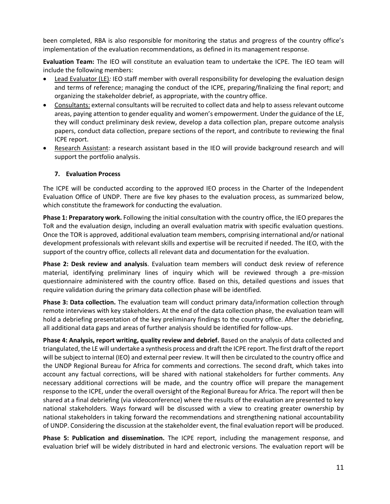been completed, RBA is also responsible for monitoring the status and progress of the country office's implementation of the evaluation recommendations, as defined in its management response.

**Evaluation Team:** The IEO will constitute an evaluation team to undertake the ICPE. The IEO team will include the following members:

- Lead Evaluator (LE)*:* IEO staff member with overall responsibility for developing the evaluation design and terms of reference; managing the conduct of the ICPE, preparing/finalizing the final report; and organizing the stakeholder debrief, as appropriate, with the country office.
- Consultants: external consultants will be recruited to collect data and help to assess relevant outcome areas, paying attention to gender equality and women's empowerment. Under the guidance of the LE, they will conduct preliminary desk review, develop a data collection plan, prepare outcome analysis papers, conduct data collection, prepare sections of the report, and contribute to reviewing the final ICPE report.
- Research Assistant: a research assistant based in the IEO will provide background research and will support the portfolio analysis.

# **7. Evaluation Process**

The ICPE will be conducted according to the approved IEO process in the Charter of the Independent Evaluation Office of UNDP. There are five key phases to the evaluation process, as summarized below, which constitute the framework for conducting the evaluation.

**Phase 1: Preparatory work.** Following the initial consultation with the country office, the IEO prepares the ToR and the evaluation design, including an overall evaluation matrix with specific evaluation questions. Once the TOR is approved, additional evaluation team members, comprising international and/or national development professionals with relevant skills and expertise will be recruited if needed. The IEO, with the support of the country office, collects all relevant data and documentation for the evaluation.

**Phase 2: Desk review and analysis**. Evaluation team members will conduct desk review of reference material, identifying preliminary lines of inquiry which will be reviewed through a pre-mission questionnaire administered with the country office. Based on this, detailed questions and issues that require validation during the primary data collection phase will be identified.

**Phase 3: Data collection.** The evaluation team will conduct primary data/information collection through remote interviews with key stakeholders. At the end of the data collection phase, the evaluation team will hold a debriefing presentation of the key preliminary findings to the country office. After the debriefing, all additional data gaps and areas of further analysis should be identified for follow-ups.

**Phase 4: Analysis, report writing, quality review and debrief.** Based on the analysis of data collected and triangulated, the LE will undertake a synthesis process and draft the ICPE report. The first draft of the report will be subject to internal (IEO) and external peer review. It will then be circulated to the country office and the UNDP Regional Bureau for Africa for comments and corrections. The second draft, which takes into account any factual corrections, will be shared with national stakeholders for further comments. Any necessary additional corrections will be made, and the country office will prepare the management response to the ICPE, under the overall oversight of the Regional Bureau for Africa. The report will then be shared at a final debriefing (via videoconference) where the results of the evaluation are presented to key national stakeholders. Ways forward will be discussed with a view to creating greater ownership by national stakeholders in taking forward the recommendations and strengthening national accountability of UNDP. Considering the discussion at the stakeholder event, the final evaluation report will be produced.

**Phase 5: Publication and dissemination.** The ICPE report, including the management response, and evaluation brief will be widely distributed in hard and electronic versions. The evaluation report will be